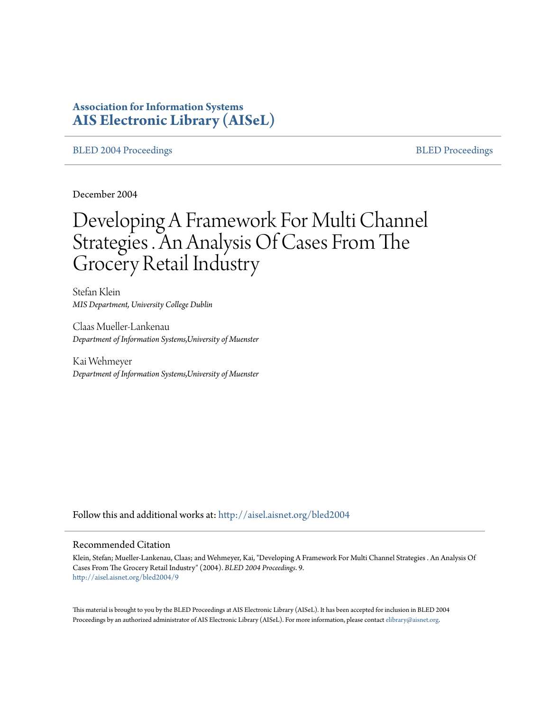# **Association for Information Systems [AIS Electronic Library \(AISeL\)](http://aisel.aisnet.org?utm_source=aisel.aisnet.org%2Fbled2004%2F9&utm_medium=PDF&utm_campaign=PDFCoverPages)**

#### [BLED 2004 Proceedings](http://aisel.aisnet.org/bled2004?utm_source=aisel.aisnet.org%2Fbled2004%2F9&utm_medium=PDF&utm_campaign=PDFCoverPages) and the state of the state of the [BLED Proceedings](http://aisel.aisnet.org/bled?utm_source=aisel.aisnet.org%2Fbled2004%2F9&utm_medium=PDF&utm_campaign=PDFCoverPages) and the BLED Proceedings and the BLED Proceedings and the BLED Proceedings and the BLED Proceedings and the BLED Proceedings and the BLED Proceedings

December 2004

# Developing A Framework For Multi Channel Strategies . An Analysis Of Cases From The Grocery Retail Industry

Stefan Klein *MIS Department, University College Dublin*

Claas Mueller-Lankenau *Department of Information Systems,University of Muenster*

Kai Wehmeyer *Department of Information Systems,University of Muenster*

Follow this and additional works at: [http://aisel.aisnet.org/bled2004](http://aisel.aisnet.org/bled2004?utm_source=aisel.aisnet.org%2Fbled2004%2F9&utm_medium=PDF&utm_campaign=PDFCoverPages)

#### Recommended Citation

Klein, Stefan; Mueller-Lankenau, Claas; and Wehmeyer, Kai, "Developing A Framework For Multi Channel Strategies . An Analysis Of Cases From The Grocery Retail Industry" (2004). *BLED 2004 Proceedings*. 9. [http://aisel.aisnet.org/bled2004/9](http://aisel.aisnet.org/bled2004/9?utm_source=aisel.aisnet.org%2Fbled2004%2F9&utm_medium=PDF&utm_campaign=PDFCoverPages)

This material is brought to you by the BLED Proceedings at AIS Electronic Library (AISeL). It has been accepted for inclusion in BLED 2004 Proceedings by an authorized administrator of AIS Electronic Library (AISeL). For more information, please contact [elibrary@aisnet.org](mailto:elibrary@aisnet.org%3E).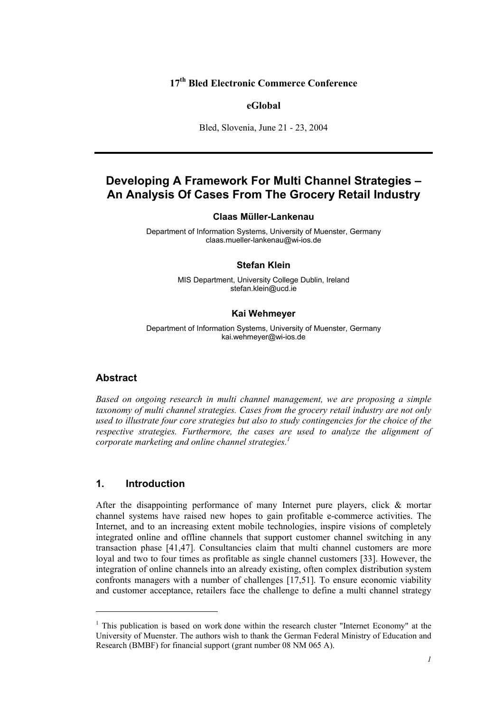## **17th Bled Electronic Commerce Conference**

#### **eGlobal**

Bled, Slovenia, June 21 - 23, 2004

# **Developing A Framework For Multi Channel Strategies – An Analysis Of Cases From The Grocery Retail Industry**

#### **Claas Müller-Lankenau**

Department of Information Systems, University of Muenster, Germany claas.mueller-lankenau@wi-ios.de

#### **Stefan Klein**

MIS Department, University College Dublin, Ireland stefan.klein@ucd.ie

#### **Kai Wehmeyer**

Department of Information Systems, University of Muenster, Germany kai.wehmeyer@wi-ios.de

#### **Abstract**

l

*Based on ongoing research in multi channel management, we are proposing a simple taxonomy of multi channel strategies. Cases from the grocery retail industry are not only used to illustrate four core strategies but also to study contingencies for the choice of the respective strategies. Furthermore, the cases are used to analyze the alignment of corporate marketing and online channel strategies.<sup>1</sup>*

#### **1. Introduction**

After the disappointing performance of many Internet pure players, click & mortar channel systems have raised new hopes to gain profitable e-commerce activities. The Internet, and to an increasing extent mobile technologies, inspire visions of completely integrated online and offline channels that support customer channel switching in any transaction phase [41,47]. Consultancies claim that multi channel customers are more loyal and two to four times as profitable as single channel customers [33]. However, the integration of online channels into an already existing, often complex distribution system confronts managers with a number of challenges [17,51]. To ensure economic viability and customer acceptance, retailers face the challenge to define a multi channel strategy

 $<sup>1</sup>$  This publication is based on work done within the research cluster "Internet Economy" at the</sup> University of Muenster. The authors wish to thank the German Federal Ministry of Education and Research (BMBF) for financial support (grant number 08 NM 065 A).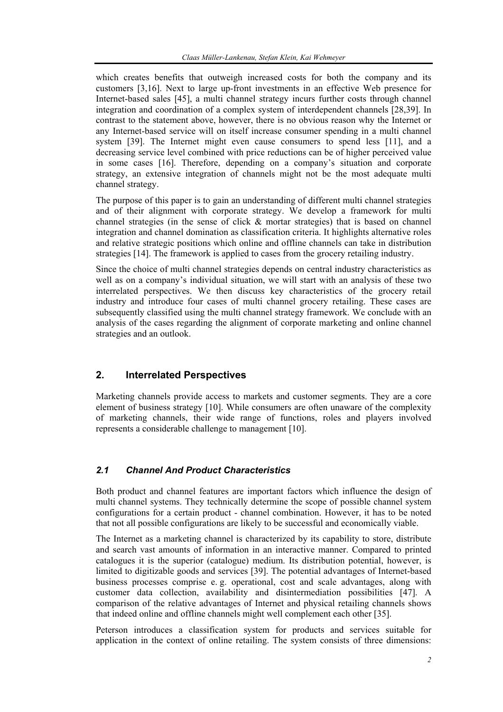which creates benefits that outweigh increased costs for both the company and its customers [3,16]. Next to large up-front investments in an effective Web presence for Internet-based sales [45], a multi channel strategy incurs further costs through channel integration and coordination of a complex system of interdependent channels [28,39]. In contrast to the statement above, however, there is no obvious reason why the Internet or any Internet-based service will on itself increase consumer spending in a multi channel system [39]. The Internet might even cause consumers to spend less [11], and a decreasing service level combined with price reductions can be of higher perceived value in some cases [16]. Therefore, depending on a company's situation and corporate strategy, an extensive integration of channels might not be the most adequate multi channel strategy.

The purpose of this paper is to gain an understanding of different multi channel strategies and of their alignment with corporate strategy. We develop a framework for multi channel strategies (in the sense of click  $\&$  mortar strategies) that is based on channel integration and channel domination as classification criteria. It highlights alternative roles and relative strategic positions which online and offline channels can take in distribution strategies [14]. The framework is applied to cases from the grocery retailing industry.

Since the choice of multi channel strategies depends on central industry characteristics as well as on a company's individual situation, we will start with an analysis of these two interrelated perspectives. We then discuss key characteristics of the grocery retail industry and introduce four cases of multi channel grocery retailing. These cases are subsequently classified using the multi channel strategy framework. We conclude with an analysis of the cases regarding the alignment of corporate marketing and online channel strategies and an outlook.

# **2. Interrelated Perspectives**

Marketing channels provide access to markets and customer segments. They are a core element of business strategy [10]. While consumers are often unaware of the complexity of marketing channels, their wide range of functions, roles and players involved represents a considerable challenge to management [10].

# *2.1 Channel And Product Characteristics*

Both product and channel features are important factors which influence the design of multi channel systems. They technically determine the scope of possible channel system configurations for a certain product - channel combination. However, it has to be noted that not all possible configurations are likely to be successful and economically viable.

The Internet as a marketing channel is characterized by its capability to store, distribute and search vast amounts of information in an interactive manner. Compared to printed catalogues it is the superior (catalogue) medium. Its distribution potential, however, is limited to digitizable goods and services [39]. The potential advantages of Internet-based business processes comprise e. g. operational, cost and scale advantages, along with customer data collection, availability and disintermediation possibilities [47]. A comparison of the relative advantages of Internet and physical retailing channels shows that indeed online and offline channels might well complement each other [35].

Peterson introduces a classification system for products and services suitable for application in the context of online retailing. The system consists of three dimensions: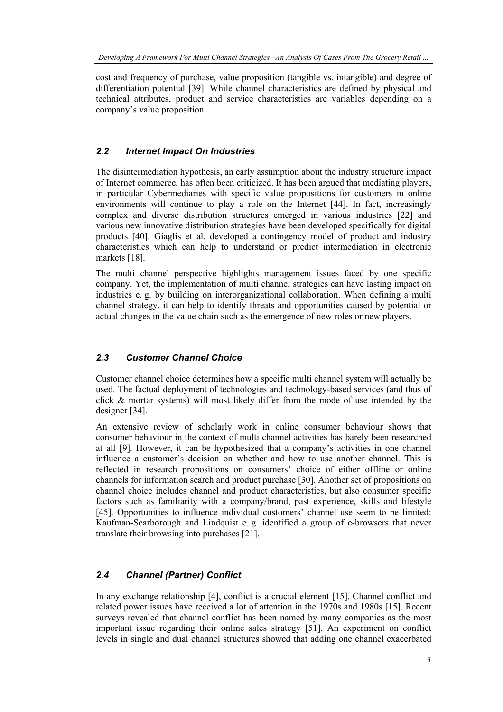cost and frequency of purchase, value proposition (tangible vs. intangible) and degree of differentiation potential [39]. While channel characteristics are defined by physical and technical attributes, product and service characteristics are variables depending on a company's value proposition.

## *2.2 Internet Impact On Industries*

The disintermediation hypothesis, an early assumption about the industry structure impact of Internet commerce, has often been criticized. It has been argued that mediating players, in particular Cybermediaries with specific value propositions for customers in online environments will continue to play a role on the Internet [44]. In fact, increasingly complex and diverse distribution structures emerged in various industries [22] and various new innovative distribution strategies have been developed specifically for digital products [40]. Giaglis et al. developed a contingency model of product and industry characteristics which can help to understand or predict intermediation in electronic markets [18].

The multi channel perspective highlights management issues faced by one specific company. Yet, the implementation of multi channel strategies can have lasting impact on industries e. g. by building on interorganizational collaboration. When defining a multi channel strategy, it can help to identify threats and opportunities caused by potential or actual changes in the value chain such as the emergence of new roles or new players.

# *2.3 Customer Channel Choice*

Customer channel choice determines how a specific multi channel system will actually be used. The factual deployment of technologies and technology-based services (and thus of click & mortar systems) will most likely differ from the mode of use intended by the designer [34].

An extensive review of scholarly work in online consumer behaviour shows that consumer behaviour in the context of multi channel activities has barely been researched at all [9]. However, it can be hypothesized that a company's activities in one channel influence a customer's decision on whether and how to use another channel. This is reflected in research propositions on consumers' choice of either offline or online channels for information search and product purchase [30]. Another set of propositions on channel choice includes channel and product characteristics, but also consumer specific factors such as familiarity with a company/brand, past experience, skills and lifestyle [45]. Opportunities to influence individual customers' channel use seem to be limited: Kaufman-Scarborough and Lindquist e. g. identified a group of e-browsers that never translate their browsing into purchases [21].

# *2.4 Channel (Partner) Conflict*

In any exchange relationship [4], conflict is a crucial element [15]. Channel conflict and related power issues have received a lot of attention in the 1970s and 1980s [15]. Recent surveys revealed that channel conflict has been named by many companies as the most important issue regarding their online sales strategy [51]. An experiment on conflict levels in single and dual channel structures showed that adding one channel exacerbated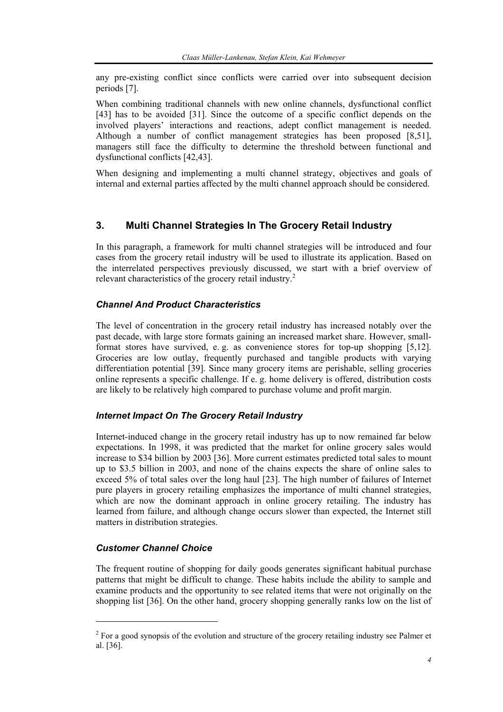any pre-existing conflict since conflicts were carried over into subsequent decision periods [7].

When combining traditional channels with new online channels, dysfunctional conflict [43] has to be avoided [31]. Since the outcome of a specific conflict depends on the involved players' interactions and reactions, adept conflict management is needed. Although a number of conflict management strategies has been proposed [8,51], managers still face the difficulty to determine the threshold between functional and dysfunctional conflicts [42,43].

When designing and implementing a multi channel strategy, objectives and goals of internal and external parties affected by the multi channel approach should be considered.

# **3. Multi Channel Strategies In The Grocery Retail Industry**

In this paragraph, a framework for multi channel strategies will be introduced and four cases from the grocery retail industry will be used to illustrate its application. Based on the interrelated perspectives previously discussed, we start with a brief overview of relevant characteristics of the grocery retail industry.<sup>2</sup>

## *Channel And Product Characteristics*

The level of concentration in the grocery retail industry has increased notably over the past decade, with large store formats gaining an increased market share. However, smallformat stores have survived, e. g. as convenience stores for top-up shopping [5,12]. Groceries are low outlay, frequently purchased and tangible products with varying differentiation potential [39]. Since many grocery items are perishable, selling groceries online represents a specific challenge. If e. g. home delivery is offered, distribution costs are likely to be relatively high compared to purchase volume and profit margin.

## *Internet Impact On The Grocery Retail Industry*

Internet-induced change in the grocery retail industry has up to now remained far below expectations. In 1998, it was predicted that the market for online grocery sales would increase to \$34 billion by 2003 [36]. More current estimates predicted total sales to mount up to \$3.5 billion in 2003, and none of the chains expects the share of online sales to exceed 5% of total sales over the long haul [23]. The high number of failures of Internet pure players in grocery retailing emphasizes the importance of multi channel strategies, which are now the dominant approach in online grocery retailing. The industry has learned from failure, and although change occurs slower than expected, the Internet still matters in distribution strategies.

## *Customer Channel Choice*

l

The frequent routine of shopping for daily goods generates significant habitual purchase patterns that might be difficult to change. These habits include the ability to sample and examine products and the opportunity to see related items that were not originally on the shopping list [36]. On the other hand, grocery shopping generally ranks low on the list of

 $2^{2}$  For a good synopsis of the evolution and structure of the grocery retailing industry see Palmer et al. [36].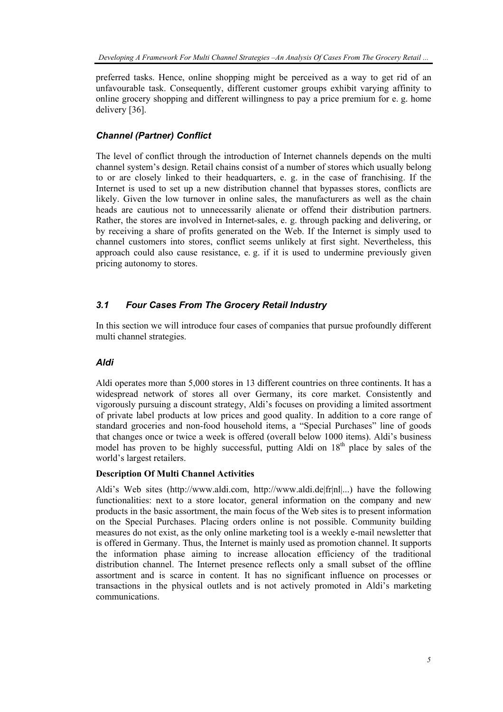preferred tasks. Hence, online shopping might be perceived as a way to get rid of an unfavourable task. Consequently, different customer groups exhibit varying affinity to online grocery shopping and different willingness to pay a price premium for e. g. home delivery [36].

## *Channel (Partner) Conflict*

The level of conflict through the introduction of Internet channels depends on the multi channel system's design. Retail chains consist of a number of stores which usually belong to or are closely linked to their headquarters, e. g. in the case of franchising. If the Internet is used to set up a new distribution channel that bypasses stores, conflicts are likely. Given the low turnover in online sales, the manufacturers as well as the chain heads are cautious not to unnecessarily alienate or offend their distribution partners. Rather, the stores are involved in Internet-sales, e. g. through packing and delivering, or by receiving a share of profits generated on the Web. If the Internet is simply used to channel customers into stores, conflict seems unlikely at first sight. Nevertheless, this approach could also cause resistance, e. g. if it is used to undermine previously given pricing autonomy to stores.

# *3.1 Four Cases From The Grocery Retail Industry*

In this section we will introduce four cases of companies that pursue profoundly different multi channel strategies.

## *Aldi*

Aldi operates more than 5,000 stores in 13 different countries on three continents. It has a widespread network of stores all over Germany, its core market. Consistently and vigorously pursuing a discount strategy, Aldi's focuses on providing a limited assortment of private label products at low prices and good quality. In addition to a core range of standard groceries and non-food household items, a "Special Purchases" line of goods that changes once or twice a week is offered (overall below 1000 items). Aldi's business model has proven to be highly successful, putting Aldi on  $18<sup>th</sup>$  place by sales of the world's largest retailers.

#### **Description Of Multi Channel Activities**

Aldi's Web sites (http://www.aldi.com, http://www.aldi.de|fr|nl|...) have the following functionalities: next to a store locator, general information on the company and new products in the basic assortment, the main focus of the Web sites is to present information on the Special Purchases. Placing orders online is not possible. Community building measures do not exist, as the only online marketing tool is a weekly e-mail newsletter that is offered in Germany. Thus, the Internet is mainly used as promotion channel. It supports the information phase aiming to increase allocation efficiency of the traditional distribution channel. The Internet presence reflects only a small subset of the offline assortment and is scarce in content. It has no significant influence on processes or transactions in the physical outlets and is not actively promoted in Aldi's marketing communications.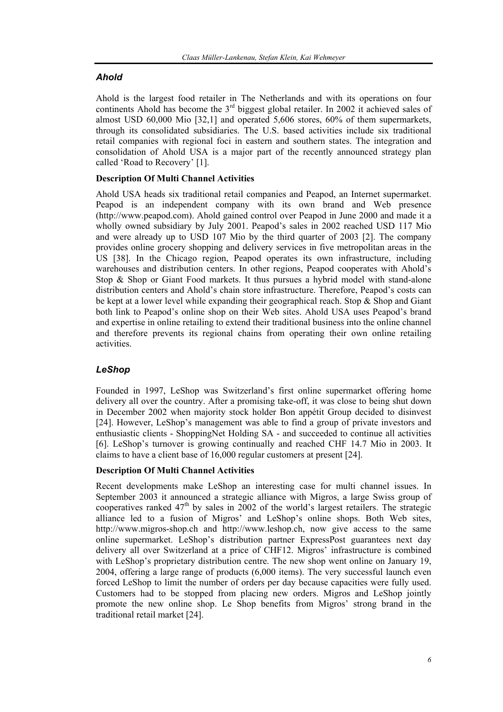# *Ahold*

Ahold is the largest food retailer in The Netherlands and with its operations on four continents Ahold has become the  $3<sup>rd</sup>$  biggest global retailer. In 2002 it achieved sales of almost USD 60,000 Mio [32,1] and operated 5,606 stores, 60% of them supermarkets, through its consolidated subsidiaries. The U.S. based activities include six traditional retail companies with regional foci in eastern and southern states. The integration and consolidation of Ahold USA is a major part of the recently announced strategy plan called 'Road to Recovery' [1].

## **Description Of Multi Channel Activities**

Ahold USA heads six traditional retail companies and Peapod, an Internet supermarket. Peapod is an independent company with its own brand and Web presence (http://www.peapod.com). Ahold gained control over Peapod in June 2000 and made it a wholly owned subsidiary by July 2001. Peapod's sales in 2002 reached USD 117 Mio and were already up to USD 107 Mio by the third quarter of 2003 [2]. The company provides online grocery shopping and delivery services in five metropolitan areas in the US [38]. In the Chicago region, Peapod operates its own infrastructure, including warehouses and distribution centers. In other regions, Peapod cooperates with Ahold's Stop & Shop or Giant Food markets. It thus pursues a hybrid model with stand-alone distribution centers and Ahold's chain store infrastructure. Therefore, Peapod's costs can be kept at a lower level while expanding their geographical reach. Stop & Shop and Giant both link to Peapod's online shop on their Web sites. Ahold USA uses Peapod's brand and expertise in online retailing to extend their traditional business into the online channel and therefore prevents its regional chains from operating their own online retailing activities.

# *LeShop*

Founded in 1997, LeShop was Switzerland's first online supermarket offering home delivery all over the country. After a promising take-off, it was close to being shut down in December 2002 when majority stock holder Bon appétit Group decided to disinvest [24]. However, LeShop's management was able to find a group of private investors and enthusiastic clients - ShoppingNet Holding SA - and succeeded to continue all activities [6]. LeShop's turnover is growing continually and reached CHF 14.7 Mio in 2003. It claims to have a client base of 16,000 regular customers at present [24].

## **Description Of Multi Channel Activities**

Recent developments make LeShop an interesting case for multi channel issues. In September 2003 it announced a strategic alliance with Migros, a large Swiss group of cooperatives ranked  $47<sup>th</sup>$  by sales in 2002 of the world's largest retailers. The strategic alliance led to a fusion of Migros' and LeShop's online shops. Both Web sites, http://www.migros-shop.ch and http://www.leshop.ch, now give access to the same online supermarket. LeShop's distribution partner ExpressPost guarantees next day delivery all over Switzerland at a price of CHF12. Migros' infrastructure is combined with LeShop's proprietary distribution centre. The new shop went online on January 19, 2004, offering a large range of products (6,000 items). The very successful launch even forced LeShop to limit the number of orders per day because capacities were fully used. Customers had to be stopped from placing new orders. Migros and LeShop jointly promote the new online shop. Le Shop benefits from Migros' strong brand in the traditional retail market [24].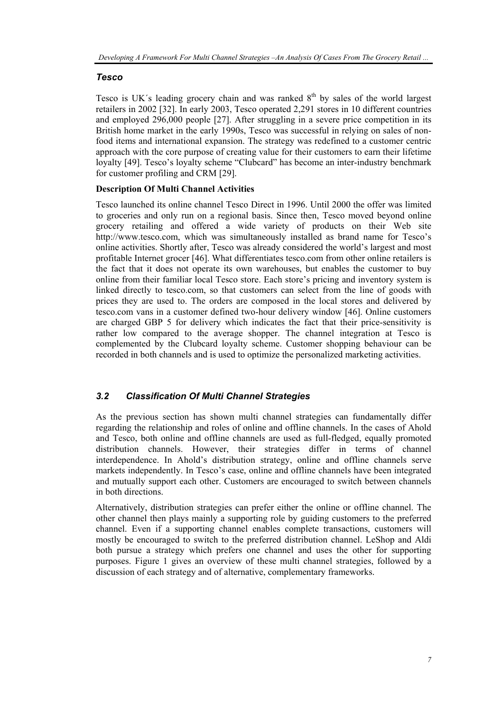#### *Tesco*

Tesco is UK's leading grocery chain and was ranked  $8<sup>th</sup>$  by sales of the world largest retailers in 2002 [32]. In early 2003, Tesco operated 2,291 stores in 10 different countries and employed 296,000 people [27]. After struggling in a severe price competition in its British home market in the early 1990s, Tesco was successful in relying on sales of nonfood items and international expansion. The strategy was redefined to a customer centric approach with the core purpose of creating value for their customers to earn their lifetime loyalty [49]. Tesco's loyalty scheme "Clubcard" has become an inter-industry benchmark for customer profiling and CRM [29].

#### **Description Of Multi Channel Activities**

Tesco launched its online channel Tesco Direct in 1996. Until 2000 the offer was limited to groceries and only run on a regional basis. Since then, Tesco moved beyond online grocery retailing and offered a wide variety of products on their Web site http://www.tesco.com, which was simultaneously installed as brand name for Tesco's online activities. Shortly after, Tesco was already considered the world's largest and most profitable Internet grocer [46]. What differentiates tesco.com from other online retailers is the fact that it does not operate its own warehouses, but enables the customer to buy online from their familiar local Tesco store. Each store's pricing and inventory system is linked directly to tesco.com, so that customers can select from the line of goods with prices they are used to. The orders are composed in the local stores and delivered by tesco.com vans in a customer defined two-hour delivery window [46]. Online customers are charged GBP 5 for delivery which indicates the fact that their price-sensitivity is rather low compared to the average shopper. The channel integration at Tesco is complemented by the Clubcard loyalty scheme. Customer shopping behaviour can be recorded in both channels and is used to optimize the personalized marketing activities.

## *3.2 Classification Of Multi Channel Strategies*

As the previous section has shown multi channel strategies can fundamentally differ regarding the relationship and roles of online and offline channels. In the cases of Ahold and Tesco, both online and offline channels are used as full-fledged, equally promoted distribution channels. However, their strategies differ in terms of channel interdependence. In Ahold's distribution strategy, online and offline channels serve markets independently. In Tesco's case, online and offline channels have been integrated and mutually support each other. Customers are encouraged to switch between channels in both directions.

Alternatively, distribution strategies can prefer either the online or offline channel. The other channel then plays mainly a supporting role by guiding customers to the preferred channel. Even if a supporting channel enables complete transactions, customers will mostly be encouraged to switch to the preferred distribution channel. LeShop and Aldi both pursue a strategy which prefers one channel and uses the other for supporting purposes. Figure 1 gives an overview of these multi channel strategies, followed by a discussion of each strategy and of alternative, complementary frameworks.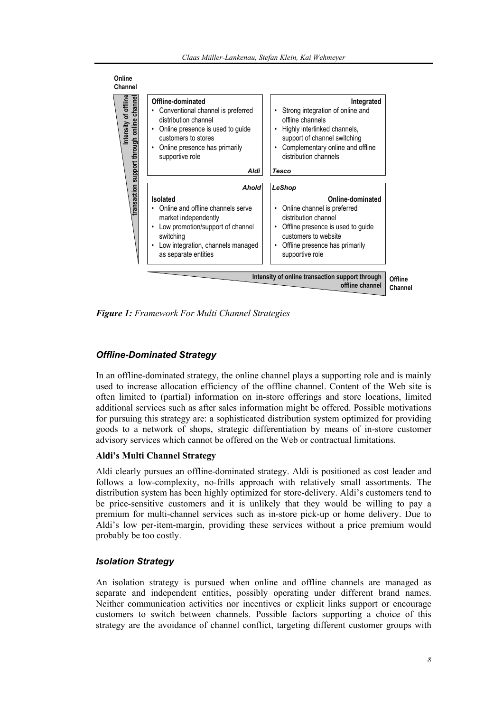

*Figure 1: Framework For Multi Channel Strategies* 

## *Offline-Dominated Strategy*

In an offline-dominated strategy, the online channel plays a supporting role and is mainly used to increase allocation efficiency of the offline channel. Content of the Web site is often limited to (partial) information on in-store offerings and store locations, limited additional services such as after sales information might be offered. Possible motivations for pursuing this strategy are: a sophisticated distribution system optimized for providing goods to a network of shops, strategic differentiation by means of in-store customer advisory services which cannot be offered on the Web or contractual limitations.

#### **Aldi's Multi Channel Strategy**

Aldi clearly pursues an offline-dominated strategy. Aldi is positioned as cost leader and follows a low-complexity, no-frills approach with relatively small assortments. The distribution system has been highly optimized for store-delivery. Aldi's customers tend to be price-sensitive customers and it is unlikely that they would be willing to pay a premium for multi-channel services such as in-store pick-up or home delivery. Due to Aldi's low per-item-margin, providing these services without a price premium would probably be too costly.

## *Isolation Strategy*

An isolation strategy is pursued when online and offline channels are managed as separate and independent entities, possibly operating under different brand names. Neither communication activities nor incentives or explicit links support or encourage customers to switch between channels. Possible factors supporting a choice of this strategy are the avoidance of channel conflict, targeting different customer groups with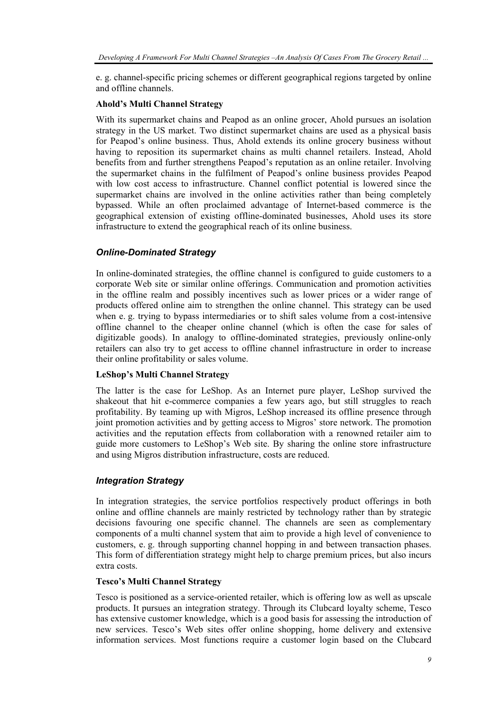e. g. channel-specific pricing schemes or different geographical regions targeted by online and offline channels.

#### **Ahold's Multi Channel Strategy**

With its supermarket chains and Peapod as an online grocer, Ahold pursues an isolation strategy in the US market. Two distinct supermarket chains are used as a physical basis for Peapod's online business. Thus, Ahold extends its online grocery business without having to reposition its supermarket chains as multi channel retailers. Instead, Ahold benefits from and further strengthens Peapod's reputation as an online retailer. Involving the supermarket chains in the fulfilment of Peapod's online business provides Peapod with low cost access to infrastructure. Channel conflict potential is lowered since the supermarket chains are involved in the online activities rather than being completely bypassed. While an often proclaimed advantage of Internet-based commerce is the geographical extension of existing offline-dominated businesses, Ahold uses its store infrastructure to extend the geographical reach of its online business.

#### *Online-Dominated Strategy*

In online-dominated strategies, the offline channel is configured to guide customers to a corporate Web site or similar online offerings. Communication and promotion activities in the offline realm and possibly incentives such as lower prices or a wider range of products offered online aim to strengthen the online channel. This strategy can be used when e. g. trying to bypass intermediaries or to shift sales volume from a cost-intensive offline channel to the cheaper online channel (which is often the case for sales of digitizable goods). In analogy to offline-dominated strategies, previously online-only retailers can also try to get access to offline channel infrastructure in order to increase their online profitability or sales volume.

#### **LeShop's Multi Channel Strategy**

The latter is the case for LeShop. As an Internet pure player, LeShop survived the shakeout that hit e-commerce companies a few years ago, but still struggles to reach profitability. By teaming up with Migros, LeShop increased its offline presence through joint promotion activities and by getting access to Migros' store network. The promotion activities and the reputation effects from collaboration with a renowned retailer aim to guide more customers to LeShop's Web site. By sharing the online store infrastructure and using Migros distribution infrastructure, costs are reduced.

#### *Integration Strategy*

In integration strategies, the service portfolios respectively product offerings in both online and offline channels are mainly restricted by technology rather than by strategic decisions favouring one specific channel. The channels are seen as complementary components of a multi channel system that aim to provide a high level of convenience to customers, e. g. through supporting channel hopping in and between transaction phases. This form of differentiation strategy might help to charge premium prices, but also incurs extra costs.

#### **Tesco's Multi Channel Strategy**

Tesco is positioned as a service-oriented retailer, which is offering low as well as upscale products. It pursues an integration strategy. Through its Clubcard loyalty scheme, Tesco has extensive customer knowledge, which is a good basis for assessing the introduction of new services. Tesco's Web sites offer online shopping, home delivery and extensive information services. Most functions require a customer login based on the Clubcard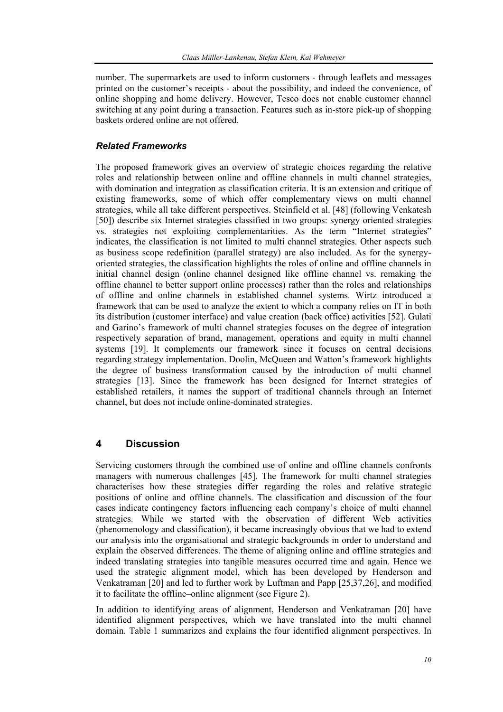number. The supermarkets are used to inform customers - through leaflets and messages printed on the customer's receipts - about the possibility, and indeed the convenience, of online shopping and home delivery. However, Tesco does not enable customer channel switching at any point during a transaction. Features such as in-store pick-up of shopping baskets ordered online are not offered.

## *Related Frameworks*

The proposed framework gives an overview of strategic choices regarding the relative roles and relationship between online and offline channels in multi channel strategies, with domination and integration as classification criteria. It is an extension and critique of existing frameworks, some of which offer complementary views on multi channel strategies, while all take different perspectives. Steinfield et al. [48] (following Venkatesh [50]) describe six Internet strategies classified in two groups: synergy oriented strategies vs. strategies not exploiting complementarities. As the term "Internet strategies" indicates, the classification is not limited to multi channel strategies. Other aspects such as business scope redefinition (parallel strategy) are also included. As for the synergyoriented strategies, the classification highlights the roles of online and offline channels in initial channel design (online channel designed like offline channel vs. remaking the offline channel to better support online processes) rather than the roles and relationships of offline and online channels in established channel systems. Wirtz introduced a framework that can be used to analyze the extent to which a company relies on IT in both its distribution (customer interface) and value creation (back office) activities [52]. Gulati and Garino's framework of multi channel strategies focuses on the degree of integration respectively separation of brand, management, operations and equity in multi channel systems [19]. It complements our framework since it focuses on central decisions regarding strategy implementation. Doolin, McQueen and Watton's framework highlights the degree of business transformation caused by the introduction of multi channel strategies [13]. Since the framework has been designed for Internet strategies of established retailers, it names the support of traditional channels through an Internet channel, but does not include online-dominated strategies.

# **4 Discussion**

Servicing customers through the combined use of online and offline channels confronts managers with numerous challenges [45]. The framework for multi channel strategies characterises how these strategies differ regarding the roles and relative strategic positions of online and offline channels. The classification and discussion of the four cases indicate contingency factors influencing each company's choice of multi channel strategies. While we started with the observation of different Web activities (phenomenology and classification), it became increasingly obvious that we had to extend our analysis into the organisational and strategic backgrounds in order to understand and explain the observed differences. The theme of aligning online and offline strategies and indeed translating strategies into tangible measures occurred time and again. Hence we used the strategic alignment model, which has been developed by Henderson and Venkatraman [20] and led to further work by Luftman and Papp [25,37,26], and modified it to facilitate the offline–online alignment (see Figure 2).

In addition to identifying areas of alignment, Henderson and Venkatraman [20] have identified alignment perspectives, which we have translated into the multi channel domain. Table 1 summarizes and explains the four identified alignment perspectives. In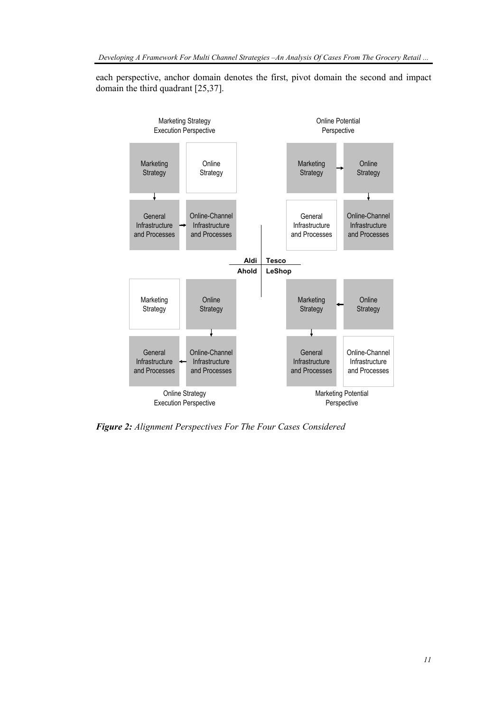each perspective, anchor domain denotes the first, pivot domain the second and impact domain the third quadrant [25,37].



*Figure 2: Alignment Perspectives For The Four Cases Considered*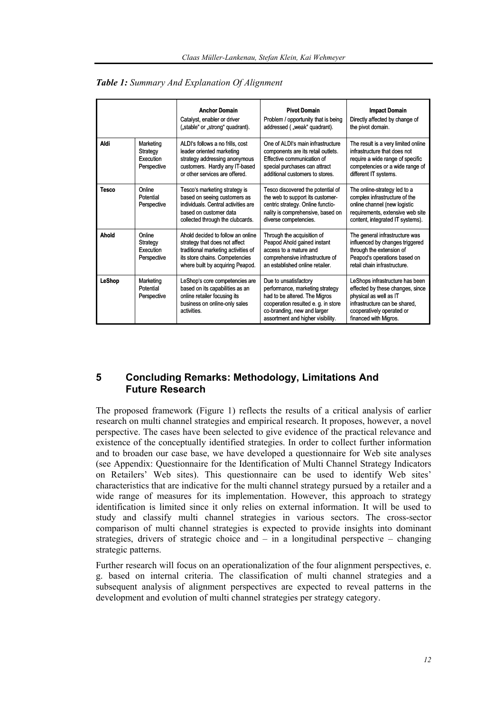|               |                                                   | <b>Anchor Domain</b><br>Catalyst, enabler or driver<br>("stable" or "strong" quadrant).                                                                                         | <b>Pivot Domain</b><br>Problem / opportunity that is being<br>addressed ("weak" quadrant).                                                                                                           | <b>Impact Domain</b><br>Directly affected by change of<br>the pivot domain.                                                                                                          |
|---------------|---------------------------------------------------|---------------------------------------------------------------------------------------------------------------------------------------------------------------------------------|------------------------------------------------------------------------------------------------------------------------------------------------------------------------------------------------------|--------------------------------------------------------------------------------------------------------------------------------------------------------------------------------------|
| Aldi          | Marketing<br>Strategy<br>Execution<br>Perspective | ALDI's follows a no frills, cost<br>leader oriented marketing<br>strategy addressing anonymous<br>customers. Hardly any IT-based<br>or other services are offered.              | One of ALDI's main infrastructure<br>components are its retail outlets.<br>Effective communication of<br>special purchases can attract<br>additional customers to stores.                            | The result is a very limited online<br>infrastructure that does not<br>require a wide range of specific<br>competencies or a wide range of<br>different IT systems.                  |
| <b>Tesco</b>  | Online<br>Potential<br>Perspective                | Tesco's marketing strategy is<br>based on seeing customers as<br>individuals. Central activities are<br>based on customer data<br>collected through the clubcards.              | Tesco discovered the potential of<br>the web to support its customer-<br>centric strategy. Online functio-<br>nality is comprehensive, based on<br>diverse competencies.                             | The online-strategy led to a<br>complex infrastructure of the<br>online channel (new logistic<br>requirements, extensive web site<br>content, integrated IT systems).                |
| Ahold         | Online<br>Strategy<br>Execution<br>Perspective    | Ahold decided to follow an online<br>strategy that does not affect<br>traditional marketing activities of<br>its store chains. Competencies<br>where built by acquiring Peapod. | Through the acquisition of<br>Peapod Ahold gained instant<br>access to a mature and<br>comprehensive infrastructure of<br>an established online retailer.                                            | The general infrastructure was<br>influenced by changes triggered<br>through the extension of<br>Peapod's operations based on<br>retail chain infrastructure.                        |
| <b>LeShop</b> | Marketing<br>Potential<br>Perspective             | LeShop's core competencies are<br>based on its capabilities as an<br>online retailer focusing its<br>business on online-only sales<br>activities.                               | Due to unsatisfactory<br>performance, marketing strategy<br>had to be altered. The Migros<br>cooperation resulted e. g. in store<br>co-branding, new and larger<br>assortment and higher visibility. | LeShops infrastructure has been<br>effected by these changes, since<br>physical as well as IT<br>infrastructure can be shared.<br>cooperatively operated or<br>financed with Migros. |

*Table 1: Summary And Explanation Of Alignment* 

## **5 Concluding Remarks: Methodology, Limitations And Future Research**

The proposed framework (Figure 1) reflects the results of a critical analysis of earlier research on multi channel strategies and empirical research. It proposes, however, a novel perspective. The cases have been selected to give evidence of the practical relevance and existence of the conceptually identified strategies. In order to collect further information and to broaden our case base, we have developed a questionnaire for Web site analyses (see Appendix: Questionnaire for the Identification of Multi Channel Strategy Indicators on Retailers' Web sites). This questionnaire can be used to identify Web sites' characteristics that are indicative for the multi channel strategy pursued by a retailer and a wide range of measures for its implementation. However, this approach to strategy identification is limited since it only relies on external information. It will be used to study and classify multi channel strategies in various sectors. The cross-sector comparison of multi channel strategies is expected to provide insights into dominant strategies, drivers of strategic choice and  $-$  in a longitudinal perspective  $-$  changing strategic patterns.

Further research will focus on an operationalization of the four alignment perspectives, e. g. based on internal criteria. The classification of multi channel strategies and a subsequent analysis of alignment perspectives are expected to reveal patterns in the development and evolution of multi channel strategies per strategy category.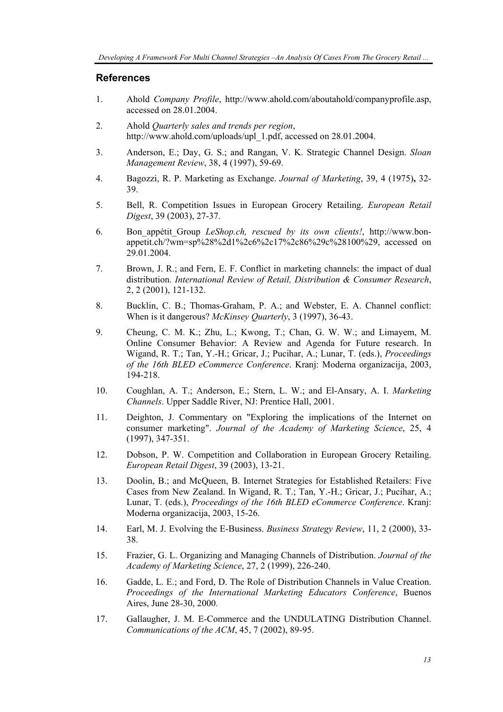## **References**

- 1. Ahold *Company Profile*, http://www.ahold.com/aboutahold/companyprofile.asp, accessed on 28.01.2004.
- 2. Ahold *Quarterly sales and trends per region*, http://www.ahold.com/uploads/upl\_1.pdf, accessed on 28.01.2004.
- 3. Anderson, E.; Day, G. S.; and Rangan, V. K. Strategic Channel Design. *Sloan Management Review*, 38, 4 (1997), 59-69.
- 4. Bagozzi, R. P. Marketing as Exchange. *Journal of Marketing*, 39, 4 (1975)**,** 32- 39.
- 5. Bell, R. Competition Issues in European Grocery Retailing. *European Retail Digest*, 39 (2003), 27-37.
- 6. Bon\_appétit\_Group *LeShop.ch, rescued by its own clients!*, http://www.bonappetit.ch/?wm=sp%28%2d1%2c6%2c17%2c86%29c%28100%29, accessed on 29.01.2004.
- 7. Brown, J. R.; and Fern, E. F. Conflict in marketing channels: the impact of dual distribution. *International Review of Retail, Distribution & Consumer Research*, 2, 2 (2001), 121-132.
- 8. Bucklin, C. B.; Thomas-Graham, P. A.; and Webster, E. A. Channel conflict: When is it dangerous? *McKinsey Quarterly*, 3 (1997), 36-43.
- 9. Cheung, C. M. K.; Zhu, L.; Kwong, T.; Chan, G. W. W.; and Limayem, M. Online Consumer Behavior: A Review and Agenda for Future research. In Wigand, R. T.; Tan, Y.-H.; Gricar, J.; Pucihar, A.; Lunar, T. (eds.), *Proceedings of the 16th BLED eCommerce Conference*. Kranj: Moderna organizacija, 2003, 194-218.
- 10. Coughlan, A. T.; Anderson, E.; Stern, L. W.; and El-Ansary, A. I. *Marketing Channels*. Upper Saddle River, NJ: Prentice Hall, 2001.
- 11. Deighton, J. Commentary on "Exploring the implications of the Internet on consumer marketing". *Journal of the Academy of Marketing Science*, 25, 4 (1997), 347-351.
- 12. Dobson, P. W. Competition and Collaboration in European Grocery Retailing. *European Retail Digest*, 39 (2003), 13-21.
- 13. Doolin, B.; and McQueen, B. Internet Strategies for Established Retailers: Five Cases from New Zealand. In Wigand, R. T.; Tan, Y.-H.; Gricar, J.; Pucihar, A.; Lunar, T. (eds.), *Proceedings of the 16th BLED eCommerce Conference*. Kranj: Moderna organizacija, 2003, 15-26.
- 14. Earl, M. J. Evolving the E-Business. *Business Strategy Review*, 11, 2 (2000), 33- 38.
- 15. Frazier, G. L. Organizing and Managing Channels of Distribution. *Journal of the Academy of Marketing Science*, 27, 2 (1999), 226-240.
- 16. Gadde, L. E.; and Ford, D. The Role of Distribution Channels in Value Creation. *Proceedings of the International Marketing Educators Conference*, Buenos Aires, June 28-30, 2000.
- 17. Gallaugher, J. M. E-Commerce and the UNDULATING Distribution Channel. *Communications of the ACM*, 45, 7 (2002), 89-95.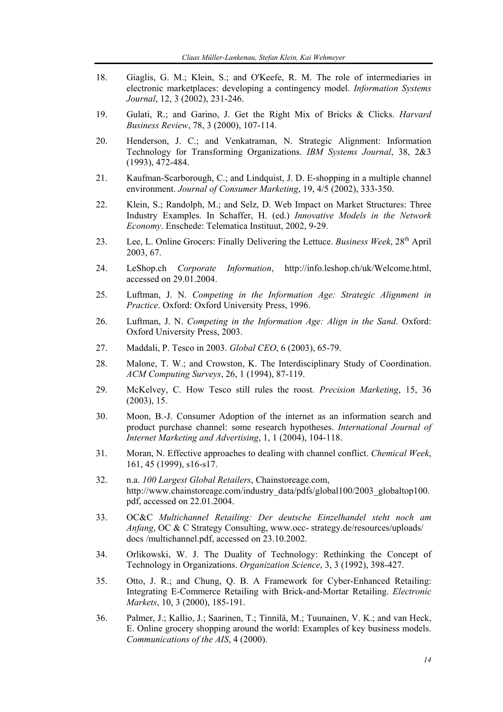- 18. Giaglis, G. M.; Klein, S.; and O'Keefe, R. M. The role of intermediaries in electronic marketplaces: developing a contingency model. *Information Systems Journal*, 12, 3 (2002), 231-246.
- 19. Gulati, R.; and Garino, J. Get the Right Mix of Bricks & Clicks. *Harvard Business Review*, 78, 3 (2000), 107-114.
- 20. Henderson, J. C.; and Venkatraman, N. Strategic Alignment: Information Technology for Transforming Organizations. *IBM Systems Journal*, 38, 2&3 (1993), 472-484.
- 21. Kaufman-Scarborough, C.; and Lindquist, J. D. E-shopping in a multiple channel environment. *Journal of Consumer Marketing*, 19, 4/5 (2002), 333-350.
- 22. Klein, S.; Randolph, M.; and Selz, D. Web Impact on Market Structures: Three Industry Examples. In Schaffer, H. (ed.) *Innovative Models in the Network Economy*. Enschede: Telematica Instituut, 2002, 9-29.
- 23. Lee, L. Online Grocers: Finally Delivering the Lettuce. *Business Week*, 28<sup>th</sup> April 2003, 67.
- 24. LeShop.ch *Corporate Information*, http://info.leshop.ch/uk/Welcome.html, accessed on 29.01.2004.
- 25. Luftman, J. N. *Competing in the Information Age: Strategic Alignment in Practice*. Oxford: Oxford University Press, 1996.
- 26. Luftman, J. N. *Competing in the Information Age: Align in the Sand*. Oxford: Oxford University Press, 2003.
- 27. Maddali, P. Tesco in 2003. *Global CEO*, 6 (2003), 65-79.
- 28. Malone, T. W.; and Crowston, K. The Interdisciplinary Study of Coordination. *ACM Computing Surveys*, 26, 1 (1994), 87-119.
- 29. McKelvey, C. How Tesco still rules the roost. *Precision Marketing*, 15, 36 (2003), 15.
- 30. Moon, B.-J. Consumer Adoption of the internet as an information search and product purchase channel: some research hypotheses. *International Journal of Internet Marketing and Advertising*, 1, 1 (2004), 104-118.
- 31. Moran, N. Effective approaches to dealing with channel conflict. *Chemical Week*, 161, 45 (1999), s16-s17.
- 32. n.a. *100 Largest Global Retailers*, Chainstoreage.com, http://www.chainstoreage.com/industry\_data/pdfs/global100/2003\_globaltop100. pdf, accessed on 22.01.2004.
- 33. OC&C *Multichannel Retailing: Der deutsche Einzelhandel steht noch am Anfang*, OC & C Strategy Consulting, www.occ- strategy.de/resources/uploads/ docs /multichannel.pdf, accessed on 23.10.2002.
- 34. Orlikowski, W. J. The Duality of Technology: Rethinking the Concept of Technology in Organizations. *Organization Science*, 3, 3 (1992), 398-427.
- 35. Otto, J. R.; and Chung, Q. B. A Framework for Cyber-Enhanced Retailing: Integrating E-Commerce Retailing with Brick-and-Mortar Retailing. *Electronic Markets*, 10, 3 (2000), 185-191.
- 36. Palmer, J.; Kallio, J.; Saarinen, T.; Tinnilä, M.; Tuunainen, V. K.; and van Heck, E. Online grocery shopping around the world: Examples of key business models. *Communications of the AIS*, 4 (2000).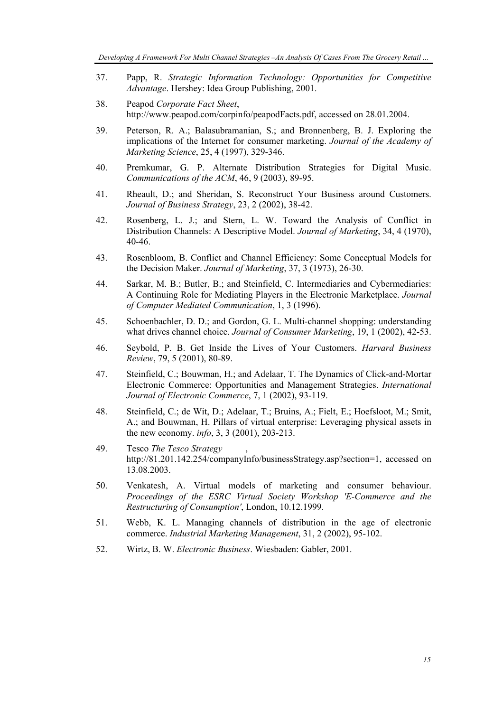- 37. Papp, R. *Strategic Information Technology: Opportunities for Competitive Advantage*. Hershey: Idea Group Publishing, 2001.
- 38. Peapod *Corporate Fact Sheet*, http://www.peapod.com/corpinfo/peapodFacts.pdf, accessed on 28.01.2004.
- 39. Peterson, R. A.; Balasubramanian, S.; and Bronnenberg, B. J. Exploring the implications of the Internet for consumer marketing. *Journal of the Academy of Marketing Science*, 25, 4 (1997), 329-346.
- 40. Premkumar, G. P. Alternate Distribution Strategies for Digital Music. *Communications of the ACM*, 46, 9 (2003), 89-95.
- 41. Rheault, D.; and Sheridan, S. Reconstruct Your Business around Customers. *Journal of Business Strategy*, 23, 2 (2002), 38-42.
- 42. Rosenberg, L. J.; and Stern, L. W. Toward the Analysis of Conflict in Distribution Channels: A Descriptive Model. *Journal of Marketing*, 34, 4 (1970), 40-46.
- 43. Rosenbloom, B. Conflict and Channel Efficiency: Some Conceptual Models for the Decision Maker. *Journal of Marketing*, 37, 3 (1973), 26-30.
- 44. Sarkar, M. B.; Butler, B.; and Steinfield, C. Intermediaries and Cybermediaries: A Continuing Role for Mediating Players in the Electronic Marketplace. *Journal of Computer Mediated Communication*, 1, 3 (1996).
- 45. Schoenbachler, D. D.; and Gordon, G. L. Multi-channel shopping: understanding what drives channel choice. *Journal of Consumer Marketing*, 19, 1 (2002), 42-53.
- 46. Seybold, P. B. Get Inside the Lives of Your Customers. *Harvard Business Review*, 79, 5 (2001), 80-89.
- 47. Steinfield, C.; Bouwman, H.; and Adelaar, T. The Dynamics of Click-and-Mortar Electronic Commerce: Opportunities and Management Strategies. *International Journal of Electronic Commerce*, 7, 1 (2002), 93-119.
- 48. Steinfield, C.; de Wit, D.; Adelaar, T.; Bruins, A.; Fielt, E.; Hoefsloot, M.; Smit, A.; and Bouwman, H. Pillars of virtual enterprise: Leveraging physical assets in the new economy. *info*, 3, 3 (2001), 203-213.
- 49. Tesco *The Tesco Strategy* , http://81.201.142.254/companyInfo/businessStrategy.asp?section=1, accessed on 13.08.2003.
- 50. Venkatesh, A. Virtual models of marketing and consumer behaviour. *Proceedings of the ESRC Virtual Society Workshop 'E-Commerce and the Restructuring of Consumption'*, London, 10.12.1999.
- 51. Webb, K. L. Managing channels of distribution in the age of electronic commerce. *Industrial Marketing Management*, 31, 2 (2002), 95-102.
- 52. Wirtz, B. W. *Electronic Business*. Wiesbaden: Gabler, 2001.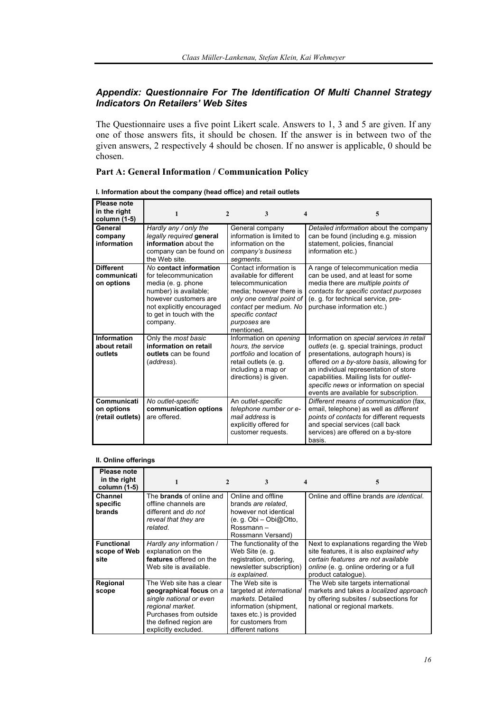## *Appendix: Questionnaire For The Identification Of Multi Channel Strategy Indicators On Retailers' Web Sites*

The Questionnaire uses a five point Likert scale. Answers to 1, 3 and 5 are given. If any one of those answers fits, it should be chosen. If the answer is in between two of the given answers, 2 respectively 4 should be chosen. If no answer is applicable, 0 should be chosen.

## **Part A: General Information / Communication Policy**

| Please note<br>in the right<br>column (1-5)   | 1                                                                                                                                                                                            | 3<br>2                                                                                                                                                                                                     | 4<br>5                                                                                                                                                                                                                                                                                                                                             |
|-----------------------------------------------|----------------------------------------------------------------------------------------------------------------------------------------------------------------------------------------------|------------------------------------------------------------------------------------------------------------------------------------------------------------------------------------------------------------|----------------------------------------------------------------------------------------------------------------------------------------------------------------------------------------------------------------------------------------------------------------------------------------------------------------------------------------------------|
| General<br>company<br>information             | Hardly any / only the<br>legally required general<br>information about the<br>company can be found on<br>the Web site.                                                                       | General company<br>information is limited to<br>information on the<br>company's business<br>segments.                                                                                                      | Detailed information about the company<br>can be found (including e.g. mission<br>statement, policies, financial<br>information etc.)                                                                                                                                                                                                              |
| <b>Different</b><br>communicati<br>on options | No contact information<br>for telecommunication<br>media (e. g. phone<br>number) is available:<br>however customers are<br>not explicitly encouraged<br>to get in touch with the<br>company. | Contact information is<br>available for different<br>telecommunication<br>media: however there is<br>only one central point of<br>contact per medium. No<br>specific contact<br>purposes are<br>mentioned. | A range of telecommunication media<br>can be used, and at least for some<br>media there are multiple points of<br>contacts for specific contact purposes<br>(e. g. for technical service, pre-<br>purchase information etc.)                                                                                                                       |
| Information<br>about retail<br>outlets        | Only the most basic<br>information on retail<br>outlets can be found<br>(address).                                                                                                           | Information on opening<br>hours, the service<br>portfolio and location of<br>retail outlets (e. q.<br>including a map or<br>directions) is given.                                                          | Information on special services in retail<br>outlets (e. g. special trainings, product<br>presentations, autograph hours) is<br>offered on a by-store basis, allowing for<br>an individual representation of store<br>capabilities. Mailing lists for outlet-<br>specific news or information on special<br>events are available for subscription. |
| Communicati<br>on options<br>(retail outlets) | No outlet-specific<br>communication options<br>are offered.                                                                                                                                  | An outlet-specific<br>telephone number or e-<br>mail address is<br>explicitly offered for<br>customer requests.                                                                                            | Different means of communication (fax,<br>email, telephone) as well as different<br>points of contacts for different requests<br>and special services (call back<br>services) are offered on a by-store<br>basis.                                                                                                                                  |

#### **II. Online offerings**

| Please note<br>in the right<br>column (1-5) |                                                                                                                                                                                | 3                                                                                                                                                                 | 4<br>5                                                                                                                                                                                           |
|---------------------------------------------|--------------------------------------------------------------------------------------------------------------------------------------------------------------------------------|-------------------------------------------------------------------------------------------------------------------------------------------------------------------|--------------------------------------------------------------------------------------------------------------------------------------------------------------------------------------------------|
| Channel<br>specific<br>brands               | The <b>brands</b> of online and<br>offline channels are<br>different and do not<br>reveal that they are<br>related.                                                            | Online and offline<br>brands are related.<br>however not identical<br>(e. g. Obi – Obi@Otto,<br>Rossmann-<br>Rossmann Versand)                                    | Online and offline brands are identical.                                                                                                                                                         |
| <b>Functional</b><br>scope of Web<br>site   | Hardly any information /<br>explanation on the<br>features offered on the<br>Web site is available.                                                                            | The functionality of the<br>Web Site (e. q.<br>registration, ordering,<br>newsletter subscription)<br>is explained.                                               | Next to explanations regarding the Web<br>site features, it is also explained why<br>certain features are not available<br><i>online</i> (e. g. online ordering or a full<br>product catalogue). |
| Regional<br>scope                           | The Web site has a clear<br>geographical focus on a<br>single national or even<br>regional market.<br>Purchases from outside<br>the defined region are<br>explicitly excluded. | The Web site is<br>targeted at international<br>markets. Detailed<br>information (shipment,<br>taxes etc.) is provided<br>for customers from<br>different nations | The Web site targets international<br>markets and takes a localized approach<br>by offering subsites / subsections for<br>national or regional markets.                                          |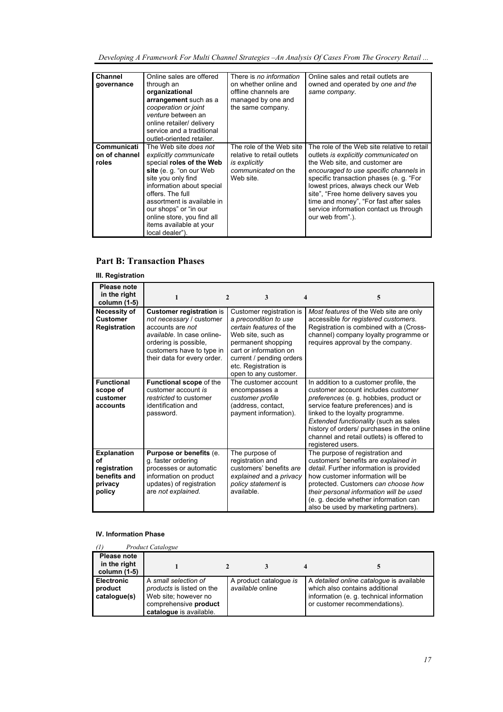*Developing A Framework For Multi Channel Strategies –An Analysis Of Cases From The Grocery Retail ...* 

| <b>Channel</b> | Online sales are offered   | There is no information    | Online sales and retail outlets are         |
|----------------|----------------------------|----------------------------|---------------------------------------------|
| governance     | through an                 | on whether online and      | owned and operated by one and the           |
|                | organizational             | offline channels are       | same company.                               |
|                | arrangement such as a      | managed by one and         |                                             |
|                | cooperation or joint       | the same company.          |                                             |
|                | venture between an         |                            |                                             |
|                | online retailer/ delivery  |                            |                                             |
|                | service and a traditional  |                            |                                             |
|                | outlet-oriented retailer.  |                            |                                             |
| Communicati    | The Web site does not      | The role of the Web site   | The role of the Web site relative to retail |
| on of channel  | explicitly communicate     | relative to retail outlets | outlets is explicitly communicated on       |
| roles          | special roles of the Web   | is explicitly              | the Web site, and customer are              |
|                | site (e.g. "on our Web     | communicated on the        | encouraged to use specific channels in      |
|                | site you only find         | Web site.                  | specific transaction phases (e. g. "For     |
|                | information about special  |                            | lowest prices, always check our Web         |
|                | offers. The full           |                            | site", "Free home delivery saves you        |
|                | assortment is available in |                            | time and money", "For fast after sales      |
|                | our shops" or "in our      |                            | service information contact us through      |
|                | online store, you find all |                            | our web from".).                            |
|                | items available at your    |                            |                                             |
|                | local dealer").            |                            |                                             |

#### **Part B: Transaction Phases**

#### **III. Registration**

| Please note<br>in the right<br>column (1-5)                                   | 1                                                                                                                                                                                                  | $\mathbf{2}$<br>3                                                                                                                                                                                                              | 4<br>5                                                                                                                                                                                                                                                                                                                                                     |
|-------------------------------------------------------------------------------|----------------------------------------------------------------------------------------------------------------------------------------------------------------------------------------------------|--------------------------------------------------------------------------------------------------------------------------------------------------------------------------------------------------------------------------------|------------------------------------------------------------------------------------------------------------------------------------------------------------------------------------------------------------------------------------------------------------------------------------------------------------------------------------------------------------|
| Necessity of<br><b>Customer</b><br>Registration                               | <b>Customer registration is</b><br>not necessary / customer<br>accounts are not<br>available. In case online-<br>ordering is possible,<br>customers have to type in<br>their data for every order. | Customer registration is<br>a precondition to use<br>certain features of the<br>Web site, such as<br>permanent shopping<br>cart or information on<br>current / pending orders<br>etc. Registration is<br>open to any customer. | Most features of the Web site are only<br>accessible for registered customers.<br>Registration is combined with a (Cross-<br>channel) company loyalty programme or<br>requires approval by the company.                                                                                                                                                    |
| <b>Functional</b><br>scope of<br>customer<br>accounts                         | <b>Functional scope of the</b><br>customer account is<br>restricted to customer<br>identification and<br>password.                                                                                 | The customer account<br>encompasses a<br>customer profile<br>(address, contact,<br>payment information).                                                                                                                       | In addition to a customer profile, the<br>customer account includes customer<br>preferences (e. g. hobbies, product or<br>service feature preferences) and is<br>linked to the loyalty programme.<br>Extended functionality (such as sales<br>history of orders/ purchases in the online<br>channel and retail outlets) is offered to<br>registered users. |
| <b>Explanation</b><br>οf<br>registration<br>benefits and<br>privacy<br>policy | <b>Purpose or benefits (e.</b><br>g. faster ordering<br>processes or automatic<br>information on product<br>updates) of registration<br>are not explained.                                         | The purpose of<br>registration and<br>customers' benefits are<br>explained and a privacy<br>policy statement is<br>available.                                                                                                  | The purpose of registration and<br>customers' benefits are explained in<br>detail. Further information is provided<br>how customer information will be<br>protected. Customers can choose how<br>their personal information will be used<br>(e. g. decide whether information can<br>also be used by marketing partners).                                  |

#### **IV. Information Phase**

|                                              | <b>Product Catalogue</b>                                                                                                      |  |                                            |  |                                                                                                                                                         |
|----------------------------------------------|-------------------------------------------------------------------------------------------------------------------------------|--|--------------------------------------------|--|---------------------------------------------------------------------------------------------------------------------------------------------------------|
| Please note<br>in the right<br>column (1-5)  |                                                                                                                               |  |                                            |  |                                                                                                                                                         |
| <b>Electronic</b><br>product<br>catalogue(s) | A small selection of<br>products is listed on the<br>Web site; however no<br>comprehensive product<br>catalogue is available. |  | A product catalogue is<br>available online |  | A detailed online catalogue is available<br>which also contains additional<br>information (e. g. technical information<br>or customer recommendations). |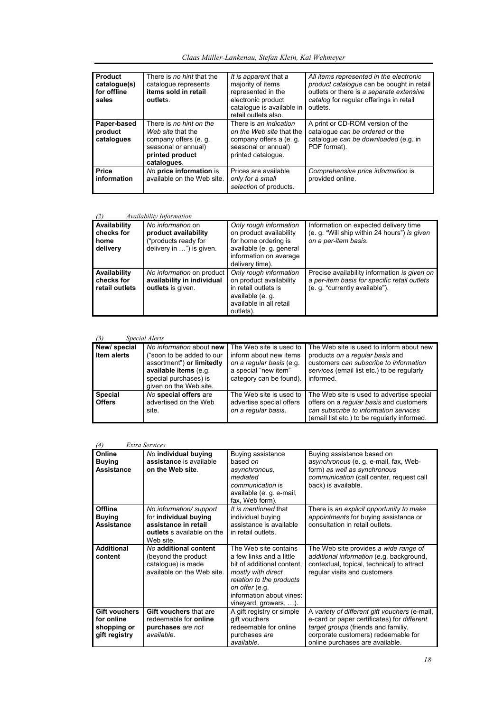| Claas Müller-Lankenau, Stefan Klein, Kai Wehmeyer |  |
|---------------------------------------------------|--|
|---------------------------------------------------|--|

| <b>Product</b><br>catalogue(s)<br>for offline<br>sales | There is no hint that the<br>catalogue represents<br>items sold in retail<br>outlets.                                          | It is apparent that a<br>majority of items<br>represented in the<br>electronic product<br>catalogue is available in<br>retail outlets also. | All items represented in the electronic<br>product catalogue can be bought in retail<br>outlets or there is a separate extensive<br>catalog for regular offerings in retail<br>outlets. |
|--------------------------------------------------------|--------------------------------------------------------------------------------------------------------------------------------|---------------------------------------------------------------------------------------------------------------------------------------------|-----------------------------------------------------------------------------------------------------------------------------------------------------------------------------------------|
| Paper-based<br>product<br>catalogues                   | There is no hint on the<br>Web site that the<br>company offers (e. q.<br>seasonal or annual)<br>printed product<br>catalogues. | There is an indication<br>on the Web site that the<br>company offers a (e. g.<br>seasonal or annual)<br>printed catalogue.                  | A print or CD-ROM version of the<br>catalogue can be ordered or the<br>catalogue can be downloaded (e.g. in<br>PDF format).                                                             |
| <b>Price</b><br>information                            | No price information is<br>available on the Web site.                                                                          | Prices are available<br>only for a small<br>selection of products.                                                                          | Comprehensive price information is<br>provided online.                                                                                                                                  |

#### *(2) Availability Information*

| (2)<br>Availability Information                |                                                                                               |                                                                                                                                                    |                                                                                                                                |  |
|------------------------------------------------|-----------------------------------------------------------------------------------------------|----------------------------------------------------------------------------------------------------------------------------------------------------|--------------------------------------------------------------------------------------------------------------------------------|--|
| Availability<br>checks for<br>home<br>delivery | No information on<br>product availability<br>("products ready for<br>delivery in ") is given. | Only rough information<br>on product availability<br>for home ordering is<br>available (e. q. general<br>information on average<br>delivery time). | Information on expected delivery time<br>(e. g. "Will ship within 24 hours") is given<br>on a per-item basis.                  |  |
| Availability<br>checks for<br>retail outlets   | No information on product<br>availability in individual<br>outlets is given.                  | Only rough information<br>on product availability<br>in retail outlets is<br>available (e. g.<br>available in all retail<br>outlets).              | Precise availability information is given on<br>a per-item basis for specific retail outlets<br>(e. g. "currently available"). |  |

## *(3) Special Alerts*

| 131<br>Special Ateris             |                                                                                                                                                                |                                                                                                                                  |                                                                                                                                                                                  |  |  |
|-----------------------------------|----------------------------------------------------------------------------------------------------------------------------------------------------------------|----------------------------------------------------------------------------------------------------------------------------------|----------------------------------------------------------------------------------------------------------------------------------------------------------------------------------|--|--|
| New/special<br><b>Item alerts</b> | No information about new<br>("soon to be added to our<br>assortment") or limitedly<br>available items (e.g.<br>special purchases) is<br>given on the Web site. | The Web site is used to<br>inform about new items<br>on a regular basis (e.g.<br>a special "new item"<br>category can be found). | The Web site is used to inform about new<br>products on a regular basis and<br>customers can subscribe to information<br>services (email list etc.) to be regularly<br>informed. |  |  |
| <b>Special</b><br><b>Offers</b>   | No special offers are<br>advertised on the Web<br>site.                                                                                                        | The Web site is used to<br>advertise special offers<br>on a regular basis.                                                       | The Web site is used to advertise special<br>offers on a regular basis and customers<br>can subscribe to information services<br>(email list etc.) to be regularly informed.     |  |  |

#### *(4) Extra Services*

| $+1$                                                        | гэлги эег чиег                                                                                                      |                                                                                                                                                                                                          |                                                                                                                                                                                                                      |
|-------------------------------------------------------------|---------------------------------------------------------------------------------------------------------------------|----------------------------------------------------------------------------------------------------------------------------------------------------------------------------------------------------------|----------------------------------------------------------------------------------------------------------------------------------------------------------------------------------------------------------------------|
| Online<br><b>Buying</b><br><b>Assistance</b>                | No individual buying<br>assistance is available<br>on the Web site                                                  | Buying assistance<br>based on<br>asynchronous.<br>mediated<br>communication is<br>available (e. g. e-mail,<br>fax, Web form).                                                                            | Buying assistance based on<br>asynchronous (e. g. e-mail, fax, Web-<br>form) as well as synchronous<br>communication (call center, request call<br>back) is available.                                               |
| Offline<br><b>Buying</b><br><b>Assistance</b>               | No information/ support<br>for individual buying<br>assistance in retail<br>outlets s available on the<br>Web site. | It is mentioned that<br>individual buying<br>assistance is available<br>in retail outlets.                                                                                                               | There is an explicit opportunity to make<br>appointments for buying assistance or<br>consultation in retail outlets.                                                                                                 |
| <b>Additional</b><br>content                                | No additional content<br>(beyond the product<br>cataloque) is made<br>available on the Web site.                    | The Web site contains<br>a few links and a little<br>bit of additional content.<br>mostly with direct<br>relation to the products<br>on offer (e.g.<br>information about vines:<br>vineyard, growers, ). | The Web site provides a wide range of<br>additional information (e.g. background,<br>contextual, topical, technical) to attract<br>regular visits and customers                                                      |
| Gift vouchers<br>for online<br>shopping or<br>gift registry | Gift vouchers that are<br>redeemable for <b>online</b><br>purchases are not<br>available.                           | A gift registry or simple<br>gift vouchers<br>redeemable for online<br>purchases are<br>available.                                                                                                       | A variety of different gift vouchers (e-mail,<br>e-card or paper certificates) for <i>different</i><br>target groups (friends and familiy,<br>corporate customers) redeemable for<br>online purchases are available. |